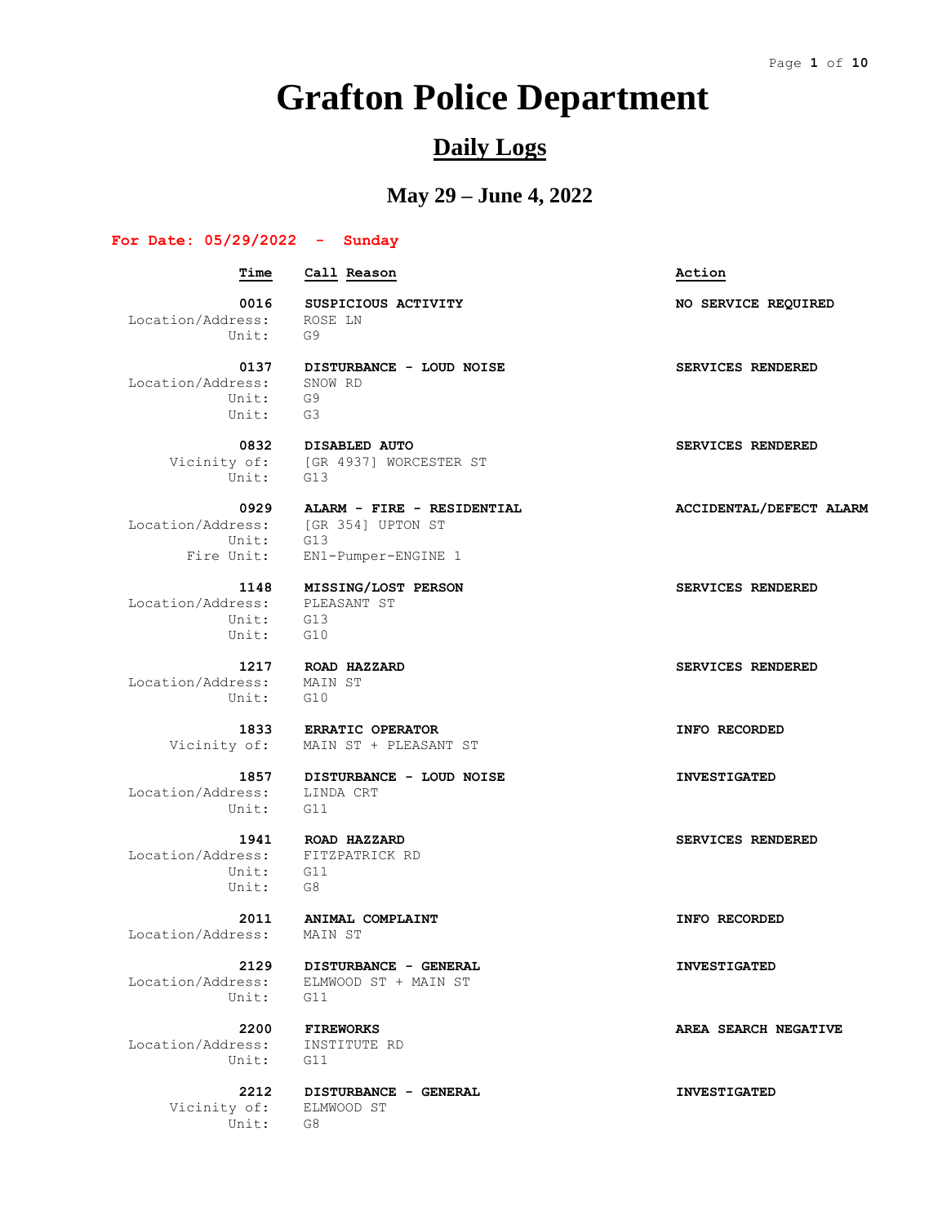# **Grafton Police Department**

### **Daily Logs**

### **May 29 – June 4, 2022**

#### **For Date: 05/29/2022 - Sunday**

#### **Time Call Reason Action 0016 SUSPICIOUS ACTIVITY NO SERVICE REQUIRED** Location/Address: ROSE LN Unit: G9  **0137 DISTURBANCE - LOUD NOISE SERVICES RENDERED**<br>ress: SNOW RD Location/Address: SNC<br>Unit: G9 Unit: Unit: G3  **0832 DISABLED AUTO SERVICES RENDERED** Vicinity of: [GR 4937] WORCESTER ST Unit: G13  **0929 ALARM - FIRE - RESIDENTIAL ACCIDENTAL/DEFECT ALARM** Location/Address: [GR 354] UPTON ST Unit: G13 Fire Unit: EN1-Pumper-ENGINE 1 **1148 MISSING/LOST PERSON SERVICES RENDERED**<br> **PLEASANT ST** Location/Address: Unit: G13 Unit: G10  **1217 ROAD HAZZARD SERVICES RENDERED** Location/Address: MAIN ST Unit: G10  **1833 ERRATIC OPERATOR INFO RECORDED**

 Location/Address: LINDA CRT Unit: G11

 Location/Address: FITZPATRICK RD Unit: G11 Unit: G8

Location/Address: MAIN ST

Unit: G11

 Location/Address: INSTITUTE RD Unit: G11

 Vicinity of: ELMWOOD ST Unit: G8

Vicinity of: MAIN ST + PLEASANT ST

 **1857 DISTURBANCE - LOUD NOISE INVESTIGATED**

 **1941 ROAD HAZZARD SERVICES RENDERED**

 **2129 DISTURBANCE - GENERAL INVESTIGATED** Location/Address: ELMWOOD ST + MAIN ST

 **2212 DISTURBANCE - GENERAL INVESTIGATED**

 **2011 ANIMAL COMPLAINT INFO RECORDED**

 **2200 FIREWORKS AREA SEARCH NEGATIVE**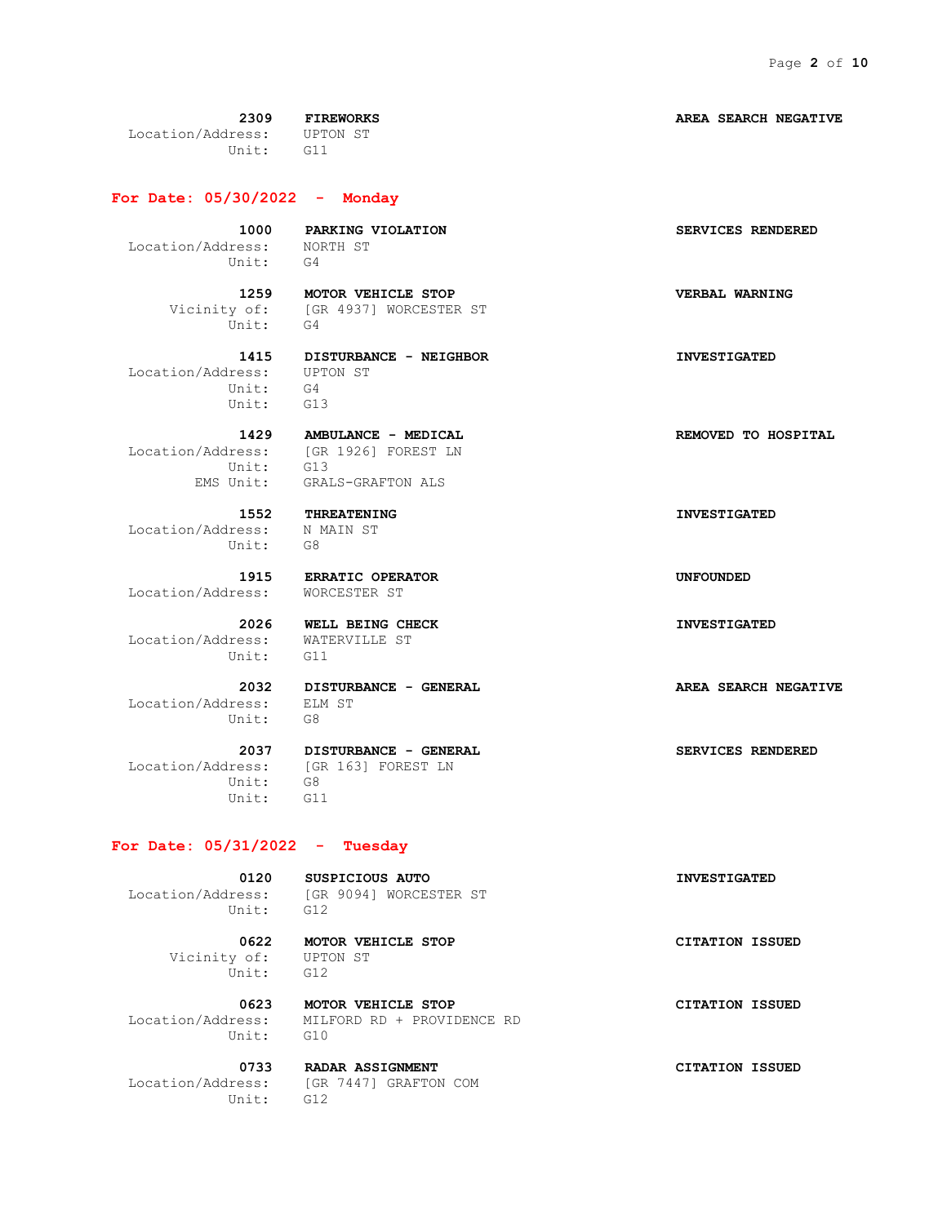**2309 FIREWORKS AREA SEARCH NEGATIVE** Location/Address: UPTON ST Unit: G11

**For Date: 05/30/2022 - Monday**

 Location/Address: NORTH ST Unit: G4

Unit: G4

 **1415 DISTURBANCE - NEIGHBOR INVESTIGATED** Location/Address: UPTON ST Unit: G4

Unit: G13

 Location/Address: N MAIN ST Unit: G8

Location/Address: WORCESTER ST

 Location/Address: WATERVILLE ST Unit: G11

 Location/Address: ELM ST Unit: G8

 Unit: G8 Unit: G11

#### **For Date: 05/31/2022 - Tuesday**

Unit: G12

 **0120 SUSPICIOUS AUTO INVESTIGATED** Location/Address: [GR 9094] WORCESTER ST

 Vicinity of: UPTON ST Unit: G12

 **0622 MOTOR VEHICLE STOP CITATION ISSUED**

 **0623 MOTOR VEHICLE STOP CITATION ISSUED** Location/Address: MILFORD RD + PROVIDENCE RD Unit: G10

 Location/Address: [GR 7447] GRAFTON COM Unit: G12

 **1000 PARKING VIOLATION SERVICES RENDERED**

 **1259 MOTOR VEHICLE STOP VERBAL WARNING** Vicinity of: [GR 4937] WORCESTER ST

Unit: G13

1429 **AMBULANCE - MEDICAL REMOVED** TO HOSPITAL Location/Address: [GR 1926] FOREST LN EMS Unit: GRALS-GRAFTON ALS

 **1915 ERRATIC OPERATOR UNFOUNDED**

 **2037 DISTURBANCE - GENERAL SERVICES RENDERED**

 **0733 RADAR ASSIGNMENT CITATION ISSUED**

 **1552 THREATENING INVESTIGATED**

 **2026 WELL BEING CHECK INVESTIGATED**

 **2032 DISTURBANCE - GENERAL AREA SEARCH NEGATIVE**

Location/Address: [GR 163] FOREST LN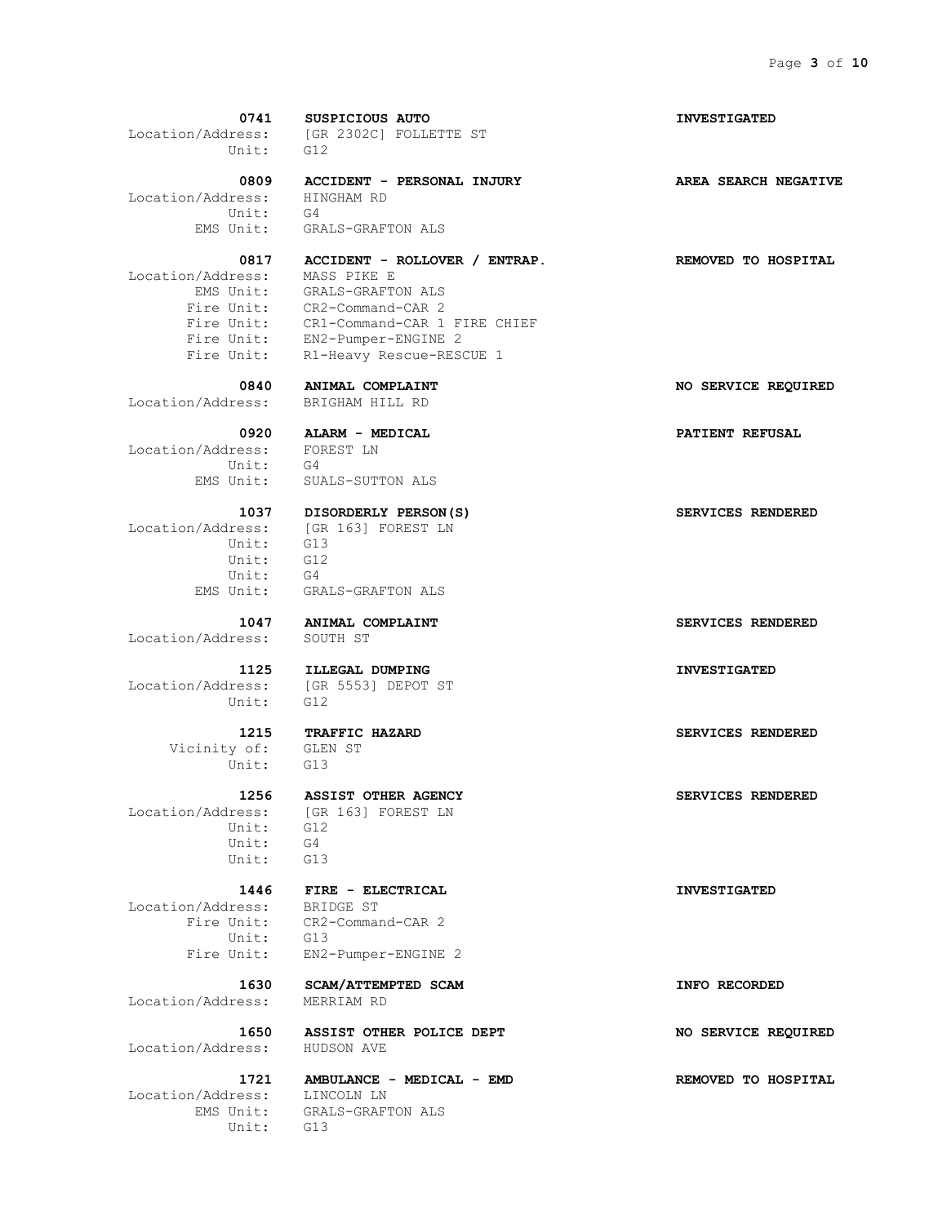| 0741                                     | SUSPICIOUS AUTO                                                         | <b>INVESTIGATED</b>  |
|------------------------------------------|-------------------------------------------------------------------------|----------------------|
|                                          | Location/Address: [GR 2302C] FOLLETTE ST                                |                      |
| Unit:                                    | G12                                                                     |                      |
| 0809                                     | ACCIDENT - PERSONAL INJURY                                              | AREA SEARCH NEGATIVE |
| Location/Address: HINGHAM RD<br>Unit: G4 |                                                                         |                      |
|                                          |                                                                         |                      |
|                                          | EMS Unit: GRALS-GRAFTON ALS                                             |                      |
| 0817                                     | ACCIDENT - ROLLOVER / ENTRAP.                                           | REMOVED TO HOSPITAL  |
| Location/Address: MASS PIKE E            |                                                                         |                      |
|                                          | EMS Unit: GRALS-GRAFTON ALS                                             |                      |
|                                          | Fire Unit: CR2-Command-CAR 2<br>Fire Unit: CR1-Command-CAR 1 FIRE CHIEF |                      |
|                                          |                                                                         |                      |
|                                          | Fire Unit: EN2-Pumper-ENGINE 2                                          |                      |
|                                          | Fire Unit: R1-Heavy Rescue-RESCUE 1                                     |                      |
|                                          | 0840 ANIMAL COMPLAINT                                                   | NO SERVICE REQUIRED  |
| Location/Address: BRIGHAM HILL RD        |                                                                         |                      |
|                                          | 0920 ALARM - MEDICAL                                                    | PATIENT REFUSAL      |
| Location/Address: FOREST LN              |                                                                         |                      |
| Unit:                                    | G4                                                                      |                      |
| EMS Unit:                                | SUALS-SUTTON ALS                                                        |                      |
|                                          | 1037 DISORDERLY PERSON(S)<br>Location/Address: [GR 163] FOREST LN       | SERVICES RENDERED    |
|                                          |                                                                         |                      |
| Unit: G13                                |                                                                         |                      |
| Unit: G12<br>Unit: G4                    |                                                                         |                      |
|                                          |                                                                         |                      |
|                                          | EMS Unit: GRALS-GRAFTON ALS                                             |                      |
|                                          | 1047 ANIMAL COMPLAINT                                                   | SERVICES RENDERED    |
| Location/Address:                        | SOUTH ST                                                                |                      |
|                                          | 1125 ILLEGAL DUMPING<br>Location/Address: [GR 5553] DEPOT ST            | <b>INVESTIGATED</b>  |
|                                          |                                                                         |                      |
| Unit:                                    | G12                                                                     |                      |
|                                          | 1215 TRAFFIC HAZARD                                                     | SERVICES RENDERED    |
| Vicinity of: GLEN ST                     |                                                                         |                      |
| Unit: G13                                |                                                                         |                      |
| 1256                                     | <b>ASSIST OTHER AGENCY</b>                                              | SERVICES RENDERED    |
| Location/Address:                        | [GR 163] FOREST LN                                                      |                      |
| Unit:                                    | G12                                                                     |                      |
| Unit:                                    | G4                                                                      |                      |
| Unit:                                    | G13                                                                     |                      |
| 1446                                     | FIRE - ELECTRICAL                                                       | <b>INVESTIGATED</b>  |
| Location/Address:                        | BRIDGE ST                                                               |                      |
|                                          | Fire Unit: CR2-Command-CAR 2                                            |                      |
| Unit:                                    | G13                                                                     |                      |
| Fire Unit:                               | EN2-Pumper-ENGINE 2                                                     |                      |
| 1630                                     | SCAM/ATTEMPTED SCAM                                                     | INFO RECORDED        |
| Location/Address:                        | MERRIAM RD                                                              |                      |
| 1650                                     | ASSIST OTHER POLICE DEPT                                                | NO SERVICE REQUIRED  |
| Location/Address:                        | HUDSON AVE                                                              |                      |
| 1721                                     | AMBULANCE - MEDICAL - EMD                                               | REMOVED TO HOSPITAL  |
| Location/Address:                        | LINCOLN LN                                                              |                      |
| EMS Unit:                                | GRALS-GRAFTON ALS                                                       |                      |
| Unit:                                    | G13                                                                     |                      |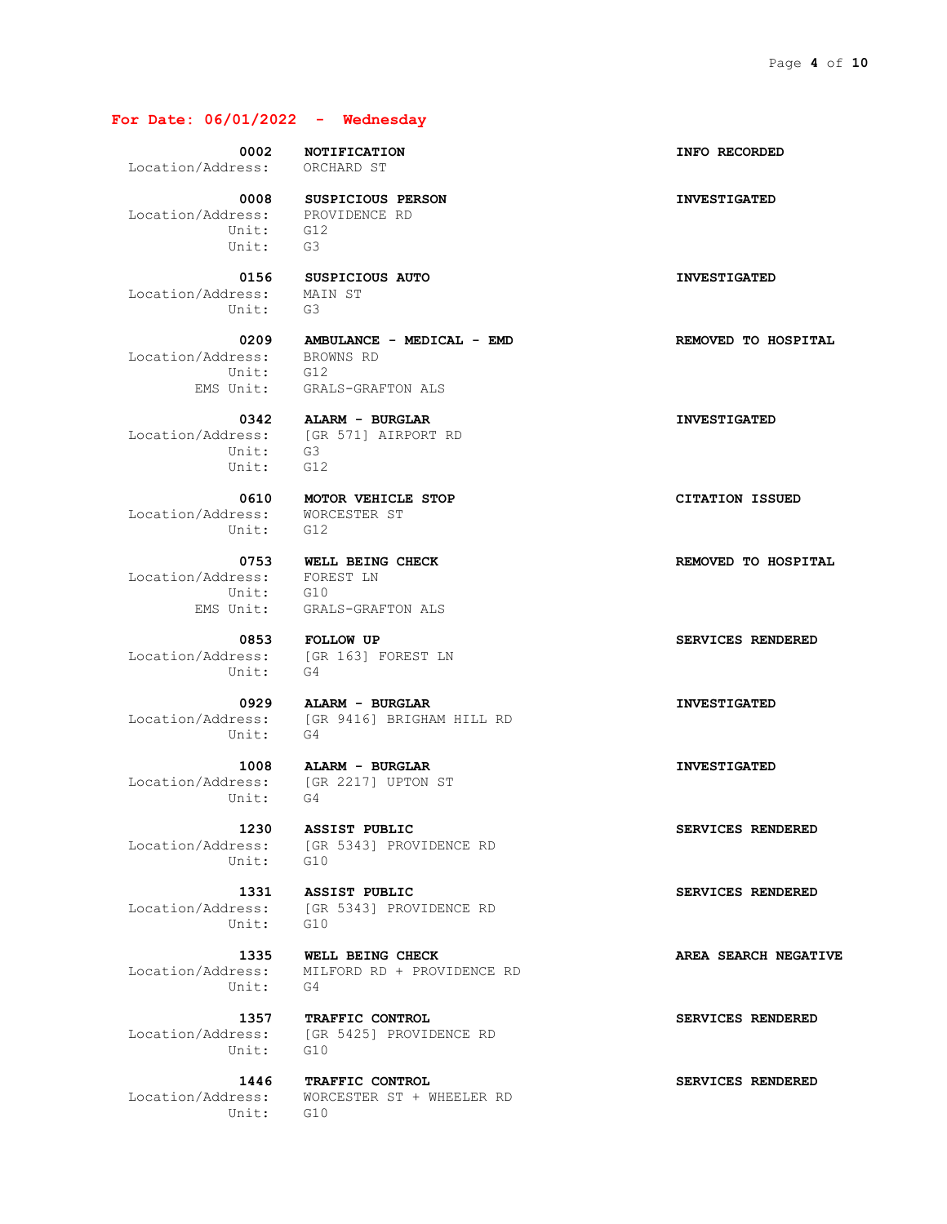#### **For Date: 06/01/2022 - Wednesday**

Location/Address: ORCHARD ST

 Location/Address: PROVIDENCE RD Unit: G12 Unit: G3

 Location/Address: MAIN ST Unit: G3

 Location/Address: BROWNS RD Unit: G12

 Unit: G3 Unit: G12

 Location/Address: WORCESTER ST Unit: G12

 Location/Address: FOREST LN Unit: G10

 Location/Address: [GR 163] FOREST LN Unit: G4

Unit: G4

 **1008 ALARM - BURGLAR INVESTIGATED** Unit: G4

Unit: G10

Unit: G10

Unit: G4

Unit: G10

Unit: G10

 **0008 SUSPICIOUS PERSON INVESTIGATED**

 **0209 AMBULANCE - MEDICAL - EMD REMOVED TO HOSPITAL** EMS Unit: GRALS-GRAFTON ALS

 **0342 ALARM - BURGLAR INVESTIGATED** Location/Address: [GR 571] AIRPORT RD

 **0610 MOTOR VEHICLE STOP CITATION ISSUED**

EMS Unit: GRALS-GRAFTON ALS

 **0853 FOLLOW UP SERVICES RENDERED**

 **0929 ALARM - BURGLAR INVESTIGATED** Location/Address: [GR 9416] BRIGHAM HILL RD

Location/Address: [GR 2217] UPTON ST

Location/Address: [GR 5343] PROVIDENCE RD

 **1331 ASSIST PUBLIC SERVICES RENDERED** Location/Address: [GR 5343] PROVIDENCE RD

1335 **WELL BEING CHECK AREA SEARCH NEGATIVE** Location/Address: MILFORD RD + PROVIDENCE RD

 **1357 TRAFFIC CONTROL SERVICES RENDERED** Location/Address: [GR 5425] PROVIDENCE RD

 **1446 TRAFFIC CONTROL SERVICES RENDERED** Location/Address: WORCESTER ST + WHEELER RD

 **0002 NOTIFICATION INFO RECORDED**

 **0156 SUSPICIOUS AUTO INVESTIGATED**

 **0753 WELL BEING CHECK REMOVED TO HOSPITAL**

 **1230 ASSIST PUBLIC SERVICES RENDERED**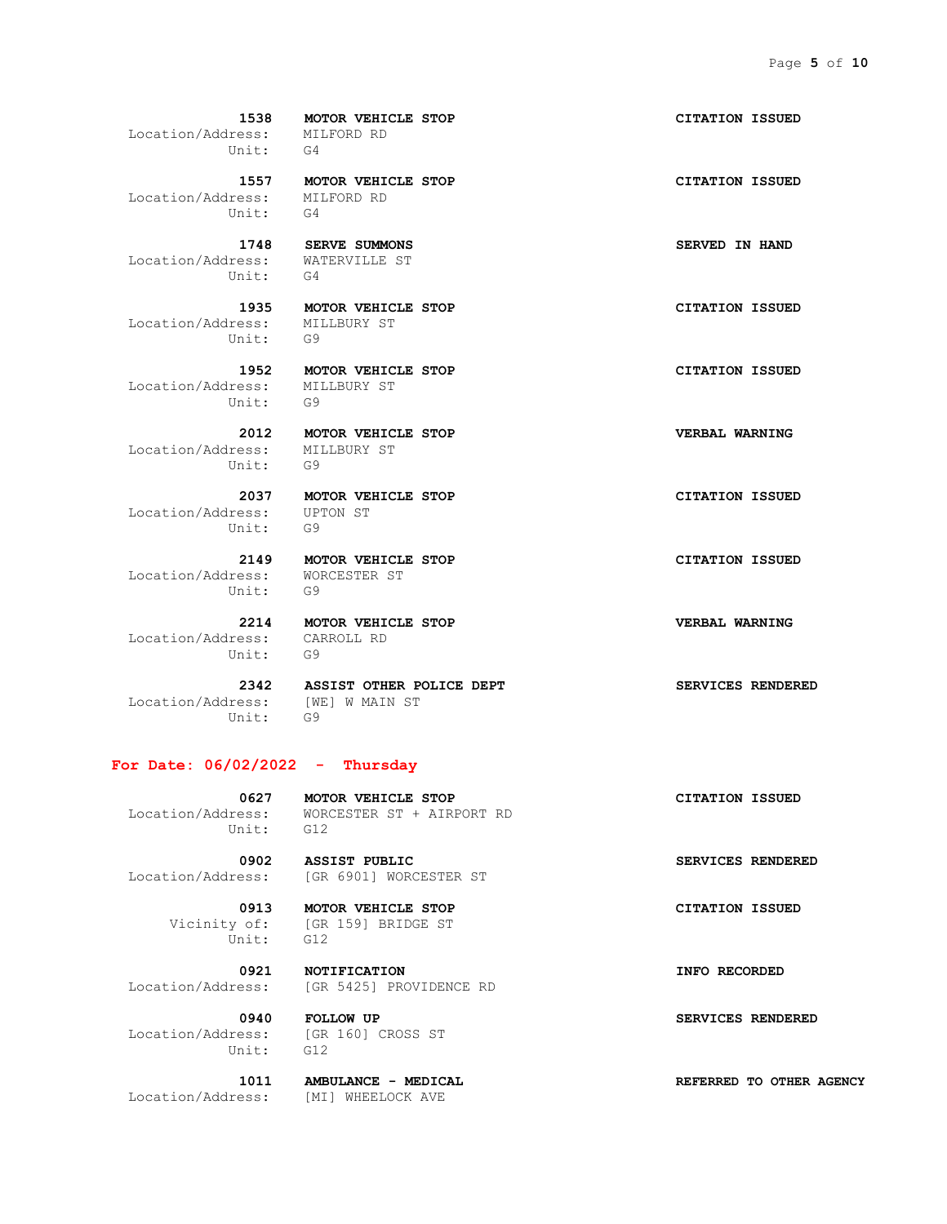Location/Address: MILFORD RD Unit: G4

 Location/Address: MILFORD RD Unit: G4

 Location/Address: WATERVILLE ST Unit: G4

 Location/Address: MILLBURY ST Unit: G9

 Location/Address: MILLBURY ST Unit: G9

 Location/Address: MILLBURY ST Unit: G9

 Location/Address: UPTON ST Unit: G9

 Location/Address: WORCESTER ST Unit: G9

 **2149 MOTOR VEHICLE STOP CITATION ISSUED**

 Location/Address: CARROLL RD Unit: G9

 Location/Address: [WE] W MAIN ST Unit: G9

 **2342 ASSIST OTHER POLICE DEPT SERVICES RENDERED**

#### **For Date: 06/02/2022 - Thursday**

 **0627 MOTOR VEHICLE STOP CITATION ISSUED** Location/Address: WORCESTER ST + AIRPORT RD Unit: G12

 **0902 ASSIST PUBLIC SERVICES RENDERED** Location/Address: [GR 6901] WORCESTER ST

 Vicinity of: [GR 159] BRIDGE ST Unit: G12

Location/Address: [GR 5425] PROVIDENCE RD

 Location/Address: [GR 160] CROSS ST Unit: G12

 **0940 FOLLOW UP SERVICES RENDERED**

Location/Address: [MI] WHEELOCK AVE

 **1538 MOTOR VEHICLE STOP CITATION ISSUED**

 **1557 MOTOR VEHICLE STOP CITATION ISSUED**

 **1748 SERVE SUMMONS SERVED IN HAND**

 **1935 MOTOR VEHICLE STOP CITATION ISSUED**

 **1952 MOTOR VEHICLE STOP CITATION ISSUED**

 **2012 MOTOR VEHICLE STOP VERBAL WARNING**

 **2037 MOTOR VEHICLE STOP CITATION ISSUED**

 **2214 MOTOR VEHICLE STOP VERBAL WARNING**

 **0913 MOTOR VEHICLE STOP CITATION ISSUED**

 **0921 NOTIFICATION INFO RECORDED**

 **1011 AMBULANCE - MEDICAL REFERRED TO OTHER AGENCY**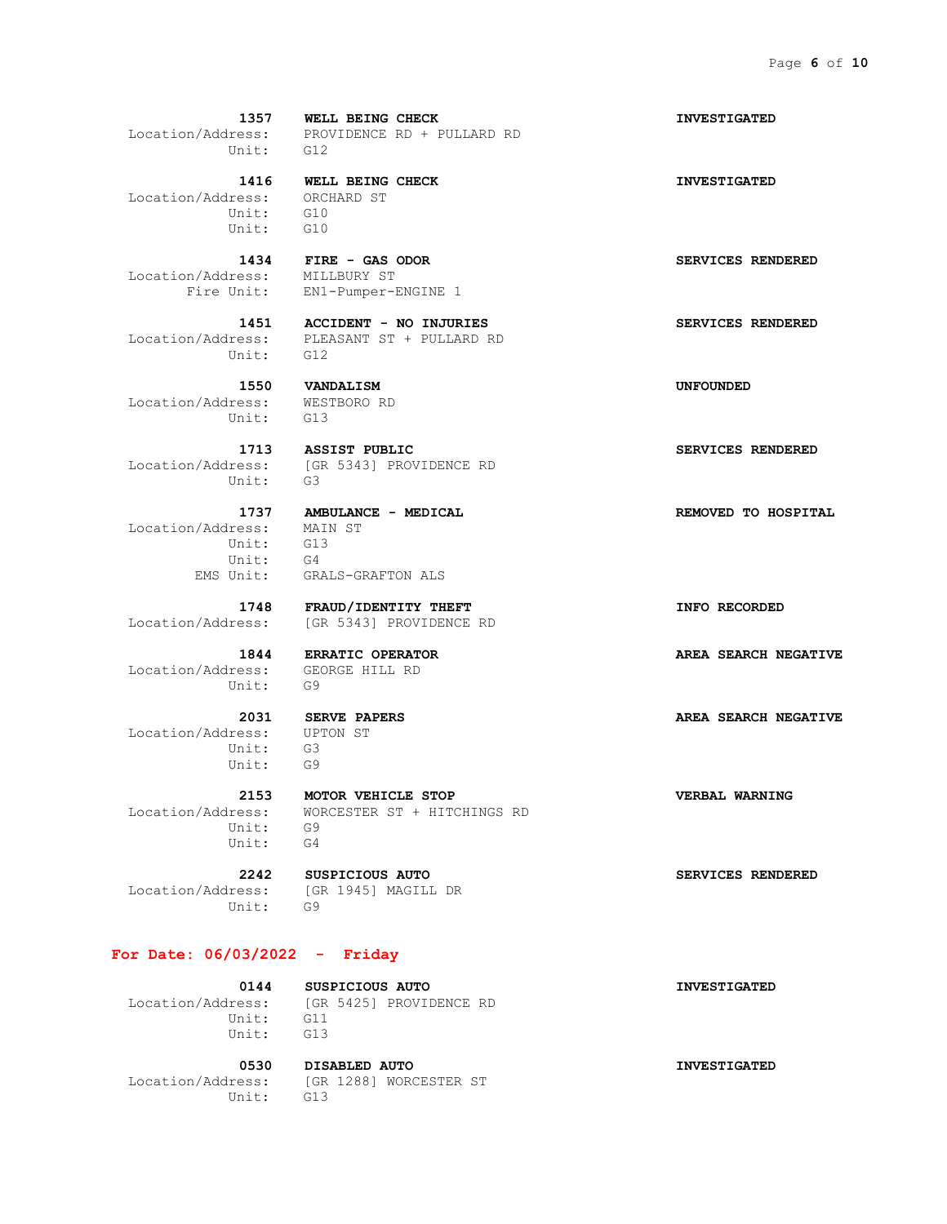Unit: G12

 Location/Address: ORCHARD ST Unit: G10 Unit: G10

Location/Address: MILLBURY ST

Unit: G12

 Location/Address: WESTBORO RD Unit: G13

Unit: G3

 Location/Address: MAIN ST Unit: G13 Unit: G4 EMS Unit: GRALS-GRAFTON ALS

 Location/Address: GEORGE HILL RD Unit: G9

 Location/Address: UPTON ST Unit: G3 Unit: G9

 Unit: G9 Unit: G4

 Location/Address: [GR 1945] MAGILL DR Unit: G9

#### **For Date: 06/03/2022 - Friday**

 Location/Address: [GR 5425] PROVIDENCE RD Unit: G11 Unit: G13

 **0530 DISABLED AUTO INVESTIGATED** Location/Address: [GR 1288] WORCESTER ST Unit: G13

 **1357 WELL BEING CHECK INVESTIGATED** Location/Address: PROVIDENCE RD + PULLARD RD

 **1416 WELL BEING CHECK INVESTIGATED**

 **1434 FIRE - GAS ODOR SERVICES RENDERED** Fire Unit: EN1-Pumper-ENGINE 1

 **1451 ACCIDENT - NO INJURIES SERVICES RENDERED** Location/Address: PLEASANT ST + PULLARD RD

 **1550 VANDALISM UNFOUNDED**

**1713 ASSIST PUBLIC SERVICES RENDERED** Location/Address: [GR 5343] PROVIDENCE RD

 **1748 FRAUD/IDENTITY THEFT INFO RECORDED** Location/Address: [GR 5343] PROVIDENCE RD

 **2153 MOTOR VEHICLE STOP VERBAL WARNING** Location/Address: WORCESTER ST + HITCHINGS RD

 **2242 SUSPICIOUS AUTO SERVICES RENDERED**

 **0144 SUSPICIOUS AUTO INVESTIGATED**

 **1844 ERRATIC OPERATOR AREA SEARCH NEGATIVE**

 **2031 SERVE PAPERS AREA SEARCH NEGATIVE**

 **1737 AMBULANCE - MEDICAL REMOVED TO HOSPITAL**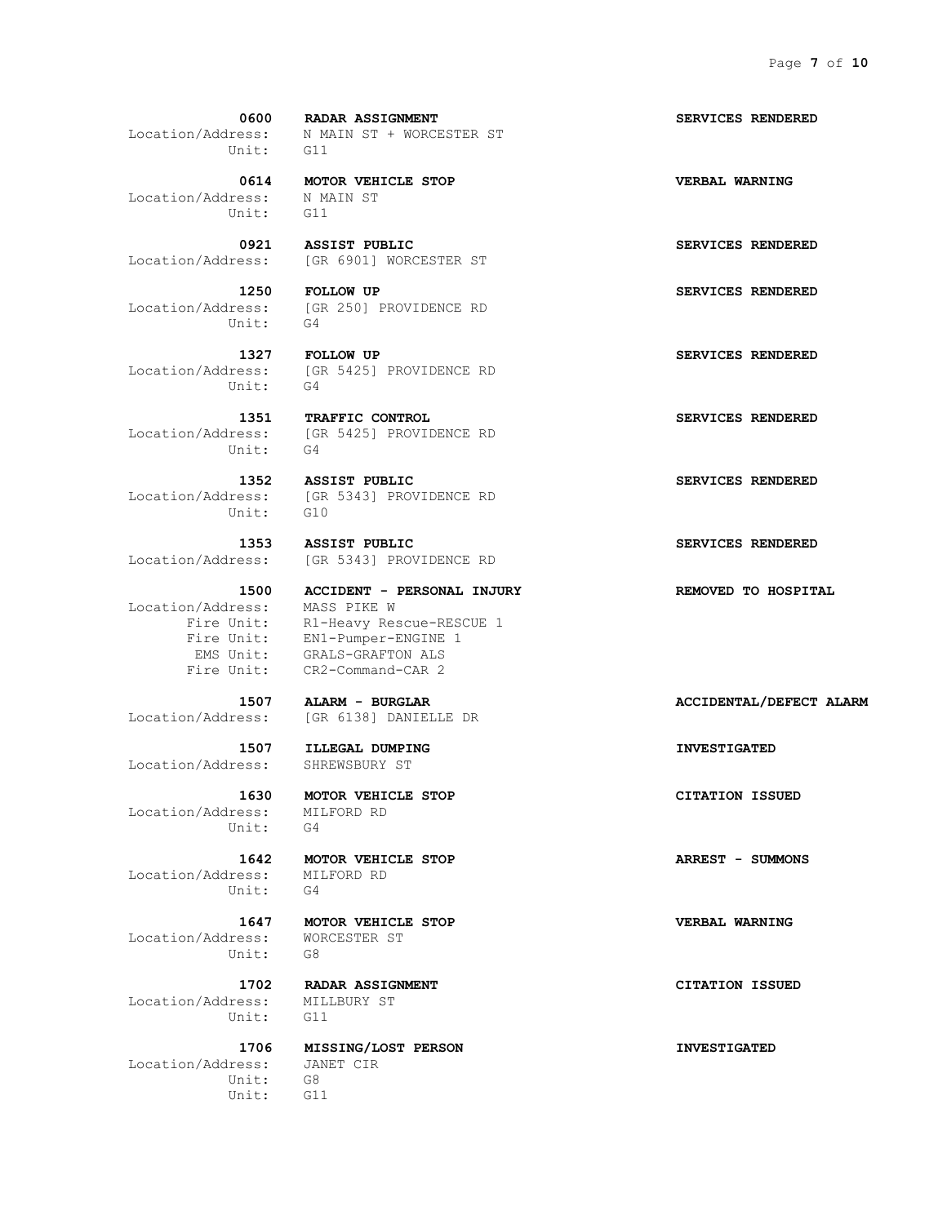Unit: G11

 Location/Address: N MAIN ST Unit: G11

Unit: G4

Unit: G4

Unit:

Unit: G10

Location/Address: MASS PIKE W

Location/Address: SHREWSBURY ST

 Location/Address: MILFORD RD Unit: G4

 Location/Address: MILFORD RD Unit: G4

 Location/Address: WORCESTER ST Unit: G8

Location/Address: MILLBURY ST Unit: G11

 Location/Address: JANET CIR Unit: G8 Unit: G11

 **0600 RADAR ASSIGNMENT SERVICES RENDERED** Location/Address: N MAIN ST + WORCESTER ST

 **0614 MOTOR VEHICLE STOP VERBAL WARNING**

 **0921 ASSIST PUBLIC SERVICES RENDERED** Location/Address: [GR 6901] WORCESTER ST

 **1250 FOLLOW UP SERVICES RENDERED** Location/Address: [GR 250] PROVIDENCE RD

 **1327 FOLLOW UP SERVICES RENDERED** Location/Address: [GR 5425] PROVIDENCE RD

 **1351 TRAFFIC CONTROL SERVICES RENDERED** Location/Address: [GR 5425] PROVIDENCE RD

 **1352 ASSIST PUBLIC SERVICES RENDERED** Location/Address: [GR 5343] PROVIDENCE RD

 **1353 ASSIST PUBLIC SERVICES RENDERED** Location/Address: [GR 5343] PROVIDENCE RD

 **1500 ACCIDENT - PERSONAL INJURY REMOVED TO HOSPITAL** Fire Unit: R1-Heavy Rescue-RESCUE 1 Fire Unit: EN1-Pumper-ENGINE 1 EMS Unit: GRALS-GRAFTON ALS Fire Unit: CR2-Command-CAR 2

Location/Address: [GR 6138] DANIELLE DR

 **1507 ILLEGAL DUMPING INVESTIGATED**

 **1630 MOTOR VEHICLE STOP CITATION ISSUED**

 **1642 MOTOR VEHICLE STOP ARREST - SUMMONS**

 **1647 MOTOR VEHICLE STOP VERBAL WARNING**

 **1702 RADAR ASSIGNMENT CITATION ISSUED**

 **1706 MISSING/LOST PERSON INVESTIGATED**

 **1507 ALARM - BURGLAR ACCIDENTAL/DEFECT ALARM**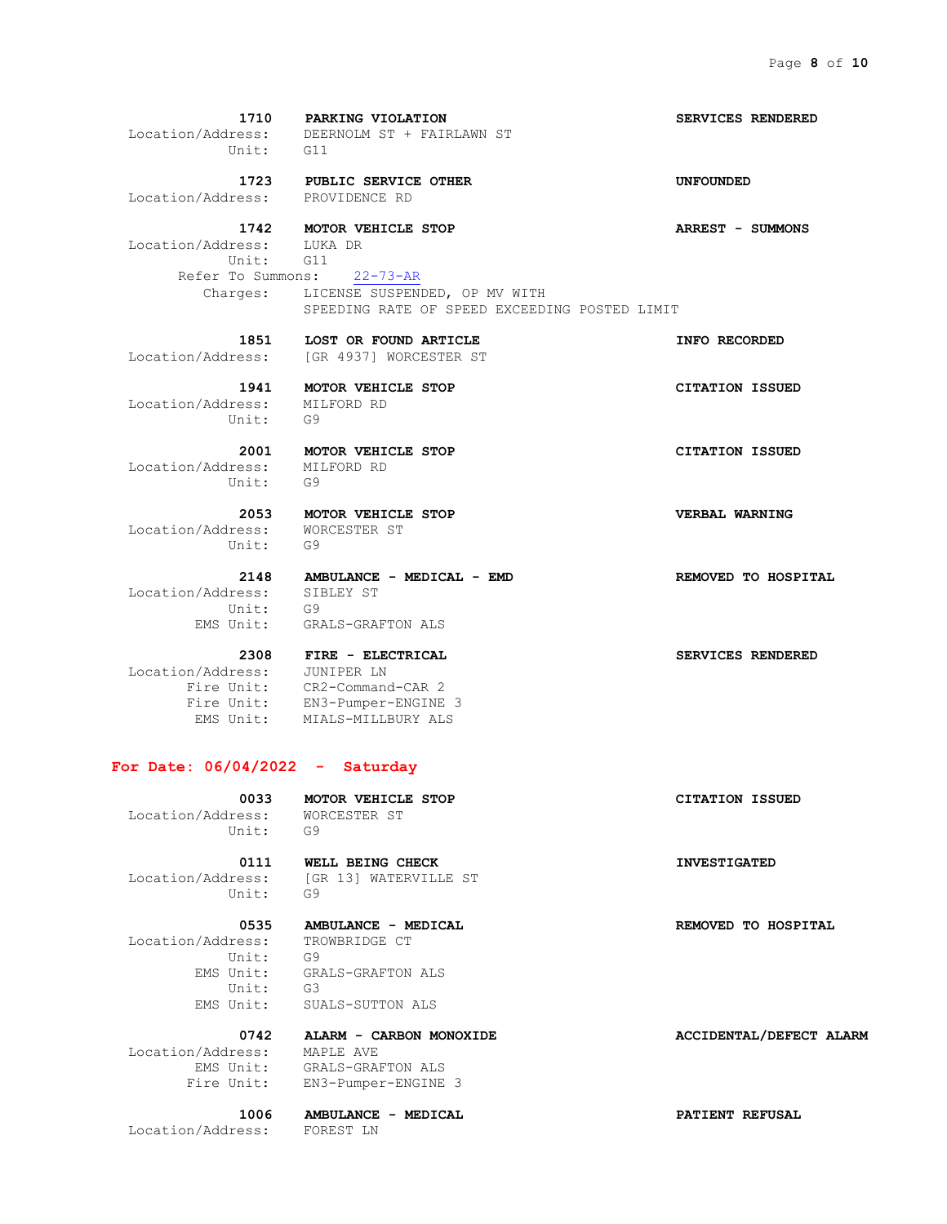**1710 PARKING VIOLATION SERVICES RENDERED** Location/Address: DEERNOLM ST + FAIRLAWN ST Unit: G11  **1723 PUBLIC SERVICE OTHER UNFOUNDED** Location/Address: PROVIDENCE RD  **1742 MOTOR VEHICLE STOP ARREST - SUMMONS** Location/Address: LUKA DR Unit: G11 Refer To Summons: 22-73-AR Charges: LICENSE SUSPENDED, OP MV WITH SPEEDING RATE OF SPEED EXCEEDING POSTED LIMIT  **1851 LOST OR FOUND ARTICLE INFO RECORDED** Location/Address: [GR 4937] WORCESTER ST  **1941 MOTOR VEHICLE STOP CITATION ISSUED** Location/Address: MILFORD RD Unit: G9  **2001 MOTOR VEHICLE STOP CITATION ISSUED** Location/Address: MILFORD RD Unit: G9  **2053 MOTOR VEHICLE STOP VERBAL WARNING** Location/Address: WORCESTER ST Unit: G9  **2148 AMBULANCE - MEDICAL - EMD REMOVED TO HOSPITAL** Location/Address: SIBLEY ST Unit: G9 EMS Unit: GRALS-GRAFTON ALS  **2308 FIRE - ELECTRICAL SERVICES RENDERED** Location/Address: JUNIPER LN Fire Unit: CR2-Command-CAR 2 Fire Unit: EN3-Pumper-ENGINE 3

#### **For Date: 06/04/2022 - Saturday**

EMS Unit: MIALS-MILLBURY ALS

 **0033 MOTOR VEHICLE STOP CITATION ISSUED**<br> **CITATION ISSUED**<br> **CITATION ISSUED** Location/Address: Unit: G9

Unit: G9

 **0111 WELL BEING CHECK INVESTIGATED** Location/Address: [GR 13] WATERVILLE ST

## Location/Address: TROWBRIDGE CT Unit: G9 Unit: G3

 EMS Unit: GRALS-GRAFTON ALS EMS Unit: SUALS-SUTTON ALS

#### Location/Address: MAPLE AVE EMS Unit: GRALS-GRAFTON ALS Fire Unit: EN3-Pumper-ENGINE 3

 **1006 AMBULANCE - MEDICAL PATIENT REFUSAL**

Location/Address: FOREST LN

#### **0535 AMBULANCE - MEDICAL REMOVED TO HOSPITAL**

 **0742 ALARM - CARBON MONOXIDE ACCIDENTAL/DEFECT ALARM**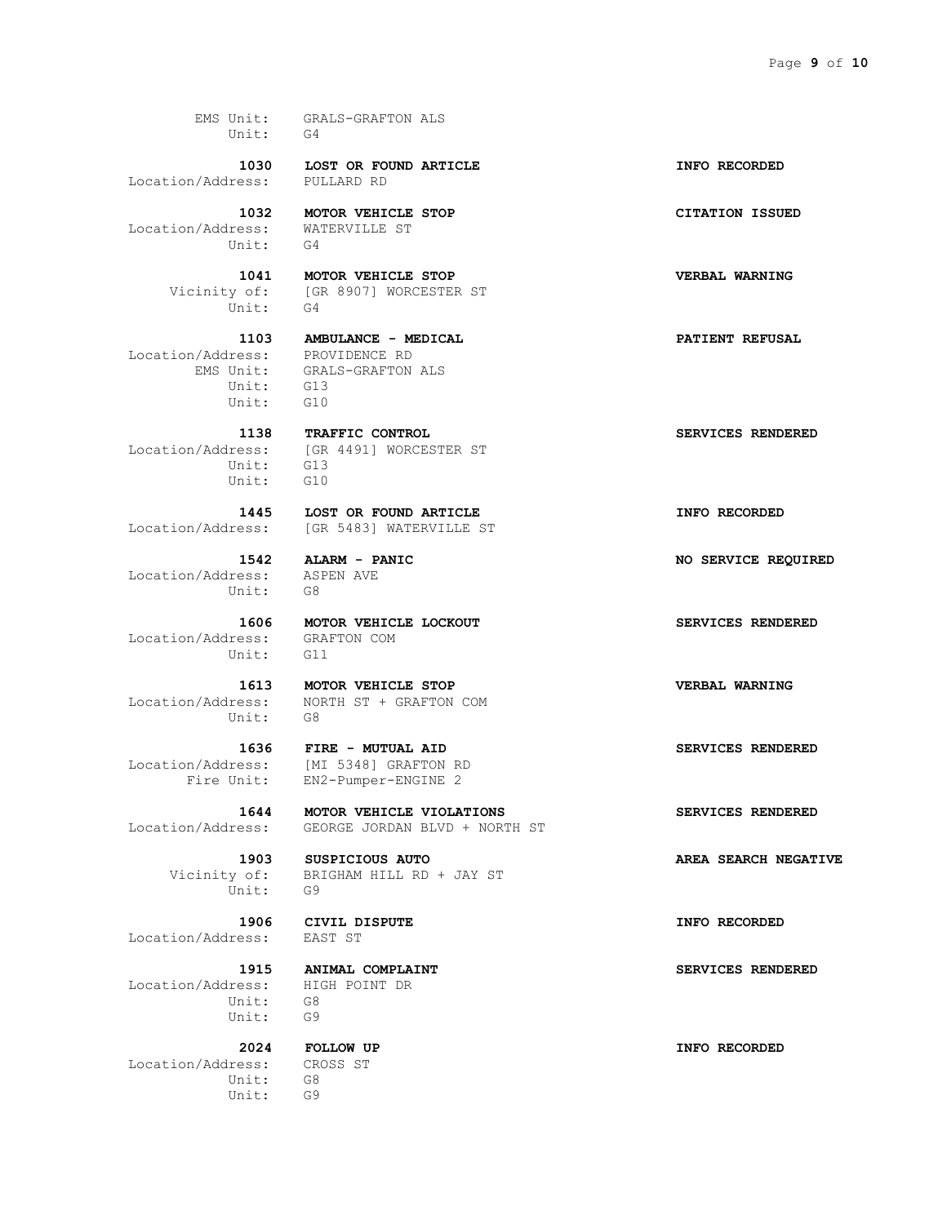EMS Unit: GRALS-GRAFTON ALS Unit: G4

Location/Address: PULLARD RD

 **1032 MOTOR VEHICLE STOP CITATION ISSUED** Location/Address: WATERVILLE ST Location/Address: WAT<br>Unit: G4

Unit: G4

 Location/Address: PROVIDENCE RD Unit: G13 Unit: G10

 Unit: G13 Unit: G10

 Location/Address: ASPEN AVE Unit: G8

 Location/Address: GRAFTON COM Unit: G11

Unit: G8

Unit: G9

Location/Address:

 Location/Address: HIGH POINT DR Unit: G8 Unit: G9

 Location/Address: CROSS ST Unit: G8 Unit: G9

 **1030 LOST OR FOUND ARTICLE INFO RECORDED**

 **1041 MOTOR VEHICLE STOP VERBAL WARNING** Vicinity of: [GR 8907] WORCESTER ST

> **1103 AMBULANCE - MEDICAL PATIENT REFUSAL** EMS Unit: GRALS-GRAFTON ALS

1138 **TRAFFIC CONTROL SERVICES RENDERED** Location/Address: [GR 4491] WORCESTER ST

 **1445 LOST OR FOUND ARTICLE INFO RECORDED** Location/Address: [GR 5483] WATERVILLE ST

 **1606 MOTOR VEHICLE LOCKOUT SERVICES RENDERED**

 **1613 MOTOR VEHICLE STOP VERBAL WARNING** Location/Address: NORTH ST + GRAFTON COM

 **1636 FIRE - MUTUAL AID SERVICES RENDERED** Location/Address: [MI 5348] GRAFTON RD Fire Unit: EN2-Pumper-ENGINE 2

 **1644 MOTOR VEHICLE VIOLATIONS SERVICES RENDERED** Location/Address: GEORGE JORDAN BLVD + NORTH ST

 **1903 SUSPICIOUS AUTO AREA SEARCH NEGATIVE** Vicinity of: BRIGHAM HILL RD + JAY ST

 **1906 CIVIL DISPUTE INFO RECORDED**

 **1542 ALARM - PANIC NO SERVICE REQUIRED**

 **1915 ANIMAL COMPLAINT SERVICES RENDERED**

 **2024 FOLLOW UP INFO RECORDED**